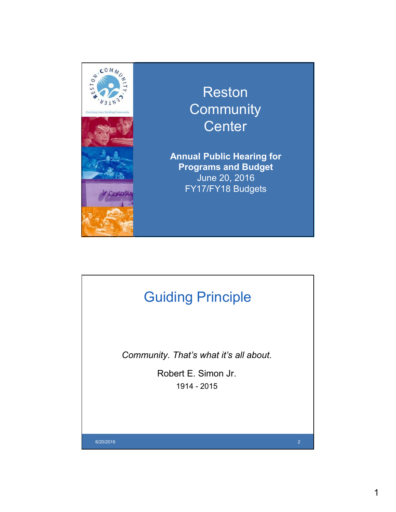

## Reston **Community Center**

**Annual Public Hearing for Programs and Budget**  June 20, 2016 FY17/FY18 Budgets

## Guiding Principle

*Community. That's what it's all about.*

Robert E. Simon Jr. 1914 - 2015

6/20/2016 2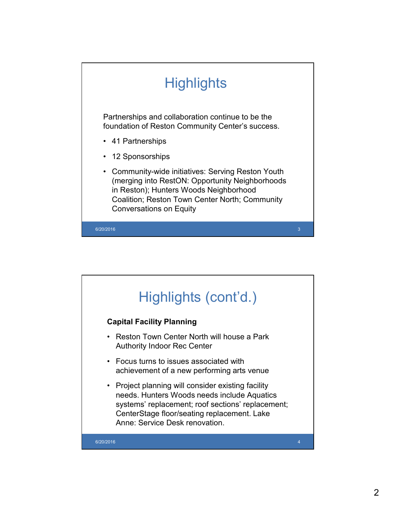

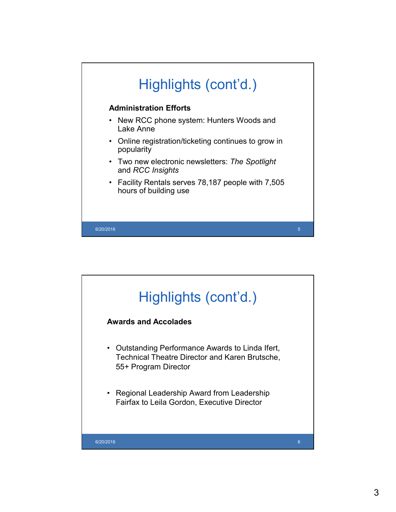

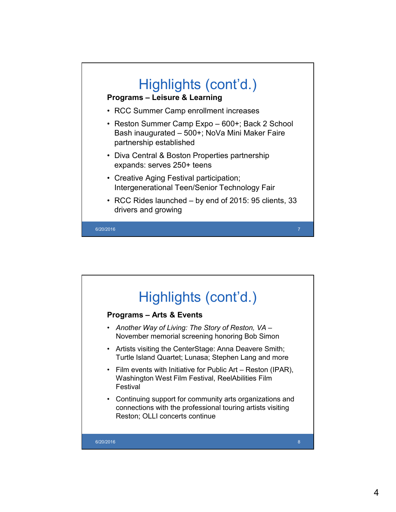

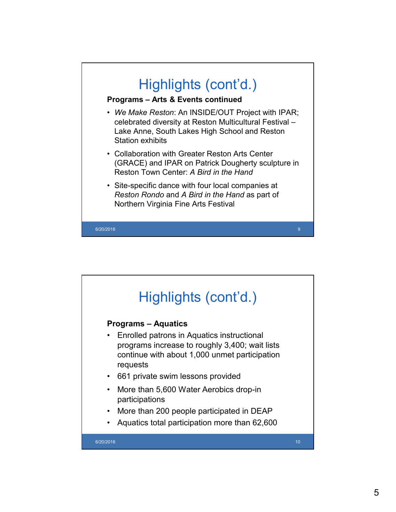

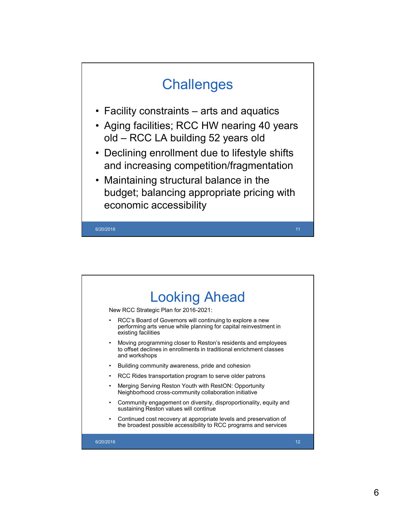## **Challenges**

- Facility constraints arts and aquatics
- Aging facilities; RCC HW nearing 40 years old – RCC LA building 52 years old
- Declining enrollment due to lifestyle shifts and increasing competition/fragmentation
- Maintaining structural balance in the budget; balancing appropriate pricing with economic accessibility

<mark>6/20/2016 - 11</mark> نفست المسافر المستقبل المسافر المستقبل المستقبل المستقبل المستقبل المستقبل المستقبل المستقبل ال

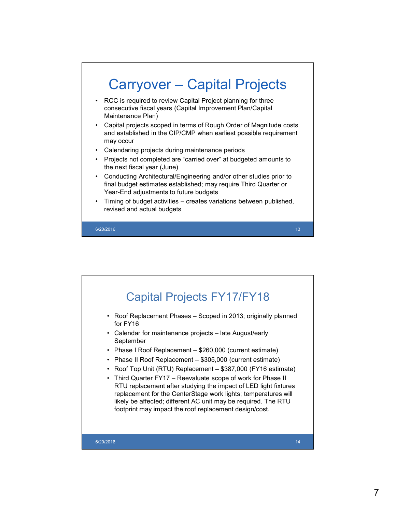

<mark>6/20/2016 - 13</mark>/20/2016 - 13/20/2016 - 13/20/2016 - 13/20/2016 - 13/20/2016 - 13/30

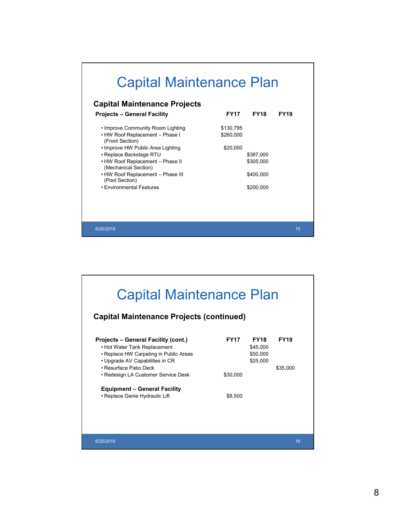

| <b>Capital Maintenance Plan</b><br><b>Capital Maintenance Projects (continued)</b>                                                                                                                                       |                  |                                                 |                         |  |  |  |  |
|--------------------------------------------------------------------------------------------------------------------------------------------------------------------------------------------------------------------------|------------------|-------------------------------------------------|-------------------------|--|--|--|--|
| <b>Projects – General Facility (cont.)</b><br>• Hot Water Tank Replacement<br>• Replace HW Carpeting in Public Areas<br>• Upgrade AV Capabilities in CR<br>• Resurface Patio Deck<br>• Redesign LA Customer Service Desk | FY17<br>\$30,000 | <b>FY18</b><br>\$45,000<br>\$50,000<br>\$25,000 | <b>FY19</b><br>\$35,000 |  |  |  |  |
| <b>Equipment - General Facility</b><br>• Replace Genie Hydraulic Lift                                                                                                                                                    | \$8.500          |                                                 |                         |  |  |  |  |
| 6/20/2016                                                                                                                                                                                                                |                  |                                                 | 16                      |  |  |  |  |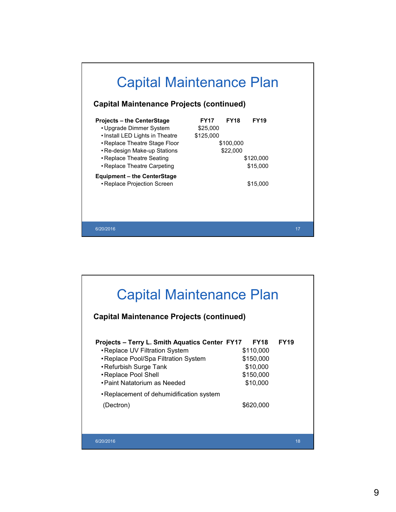

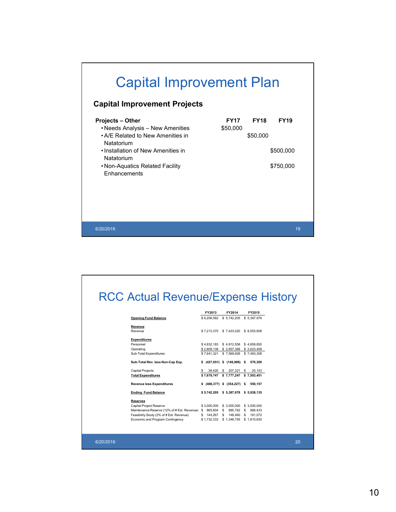

|                                                           | FY2013        | FY2014                              | FY2015  |
|-----------------------------------------------------------|---------------|-------------------------------------|---------|
| <b>Opening Fund Balance</b>                               |               | \$6.208.582 \$5.742.205 \$5.387.978 |         |
| Revenue                                                   |               |                                     |         |
| Revenue                                                   |               | \$7,213,370 \$7,423,020 \$8,053,608 |         |
| <b>Expenditures</b>                                       |               |                                     |         |
| Personnel                                                 |               | \$4,832,183 \$4,912,558 \$4,859,850 |         |
| Operating                                                 |               | \$2,809,138 \$2,657,368 \$2,623,458 |         |
| Sub-Total Expenditures                                    | \$7.641.321   | \$7.569.926 \$7.483.308             |         |
| Sub-Total Rev. less Non-Cap Exp.                          |               | $$$ (427,951) $$$ (146,906) $$$     | 570.300 |
| <b>Capital Projects</b>                                   | \$.           | 38,426 \$ 207,321 \$                | 20.143  |
| <b>Total Expenditures</b>                                 |               | \$7,679,747 \$7,777,247 \$7,503,451 |         |
| <b>Revenue less Expenditures</b>                          |               | \$ (466,377) \$ (354,227) \$        | 550.157 |
| <b>Ending Fund Balance</b>                                |               | \$5,742,205 \$5,387,978 \$5,938,135 |         |
| <b>Reserves</b>                                           |               |                                     |         |
| Capital Project Reserve                                   | \$3,000,000   | \$3,000,000 \$3,000,000             |         |
| Maintenance Reserve (12% of # Est. Revenue) \$ 865,604 \$ |               | 890,762 \$                          | 966,433 |
| Feasibility Study (2% of # Est. Revenue)                  | $$144.267$ \$ | 148.460 \$                          | 161.072 |
| Economic and Program Contingency                          |               | \$1,732,333 \$1,348,755 \$1,810,630 |         |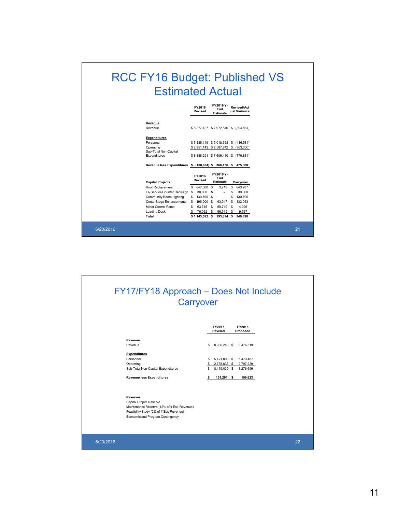| RCC FY16 Budget: Published VS<br><b>Estimated Actual</b> |                                                              |                                      |                                      |              |                                    |  |    |
|----------------------------------------------------------|--------------------------------------------------------------|--------------------------------------|--------------------------------------|--------------|------------------------------------|--|----|
|                                                          |                                                              | FY2016<br>Revised                    | FY2016 Y-<br>End<br><b>Estimate</b>  |              | <b>Revised/Act</b><br>ual Variance |  |    |
|                                                          | Revenue                                                      |                                      |                                      |              |                                    |  |    |
|                                                          | Revenue                                                      |                                      | \$8,277,427 \$7,972,546 \$ (304,881) |              |                                    |  |    |
|                                                          | <b>Expenditures</b>                                          |                                      |                                      |              |                                    |  |    |
|                                                          | Personnel                                                    |                                      | \$5,435,149 \$5,018,568 \$ (416,581) |              |                                    |  |    |
|                                                          | Operating                                                    | \$2,951,142 \$2,587,842 \$ (363,300) |                                      |              |                                    |  |    |
|                                                          | Sub-Total Non-Capital<br>Expenditures                        |                                      | \$8,386,291 \$7,606,410 \$ (779,881) |              |                                    |  |    |
|                                                          | Revenue less Expenditures \$ (108,864) \$ 366,136 \$ 475,000 |                                      |                                      |              |                                    |  |    |
|                                                          | <b>Capital Projects</b>                                      | FY2016<br><b>Revised</b>             | FY2016 Y-<br>End<br><b>Estimate</b>  |              | Carryover                          |  |    |
|                                                          | Roof Replacement                                             | \$ 647,000 \$                        | 3.713                                | $\mathbb{S}$ | 643.287                            |  |    |
|                                                          | LA Service Counter Redesign \$                               | 30,000 \$                            | $\blacksquare$                       | S            | 30,000                             |  |    |
|                                                          | Community Room Lighting                                      | S.<br>130.795 \$                     | $\sim$                               | \$.          | 130.795                            |  |    |
|                                                          | CenterStage Enhancements                                     | \$<br>196,000 \$                     | 63,947 \$                            |              | 132,053                            |  |    |
|                                                          | Motor Control Panel                                          | \$<br>63.745 \$                      | 59.719 \$                            |              | 4.026                              |  |    |
|                                                          | <b>Loading Dock</b>                                          | 76,052 \$<br>S                       | 66,515 \$                            |              | 9.537                              |  |    |
|                                                          | Total                                                        | $$1,143,592$ \$                      | 193,894 \$                           |              | 949,698                            |  |    |
| 6/20/2016                                                |                                                              |                                      |                                      |              |                                    |  | 21 |